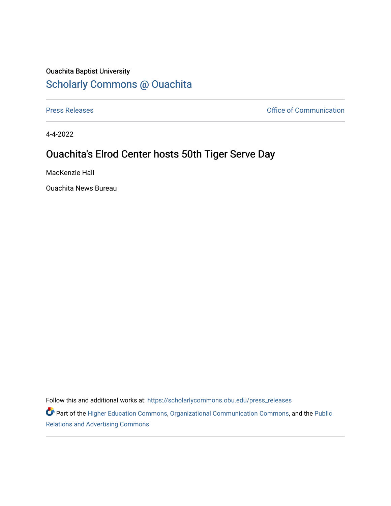## Ouachita Baptist University [Scholarly Commons @ Ouachita](https://scholarlycommons.obu.edu/)

[Press Releases](https://scholarlycommons.obu.edu/press_releases) **Press Releases Communication** 

4-4-2022

## Ouachita's Elrod Center hosts 50th Tiger Serve Day

MacKenzie Hall

Ouachita News Bureau

Follow this and additional works at: [https://scholarlycommons.obu.edu/press\\_releases](https://scholarlycommons.obu.edu/press_releases?utm_source=scholarlycommons.obu.edu%2Fpress_releases%2F1076&utm_medium=PDF&utm_campaign=PDFCoverPages)

Part of the [Higher Education Commons,](http://network.bepress.com/hgg/discipline/1245?utm_source=scholarlycommons.obu.edu%2Fpress_releases%2F1076&utm_medium=PDF&utm_campaign=PDFCoverPages) [Organizational Communication Commons,](http://network.bepress.com/hgg/discipline/335?utm_source=scholarlycommons.obu.edu%2Fpress_releases%2F1076&utm_medium=PDF&utm_campaign=PDFCoverPages) and the [Public](http://network.bepress.com/hgg/discipline/336?utm_source=scholarlycommons.obu.edu%2Fpress_releases%2F1076&utm_medium=PDF&utm_campaign=PDFCoverPages) [Relations and Advertising Commons](http://network.bepress.com/hgg/discipline/336?utm_source=scholarlycommons.obu.edu%2Fpress_releases%2F1076&utm_medium=PDF&utm_campaign=PDFCoverPages)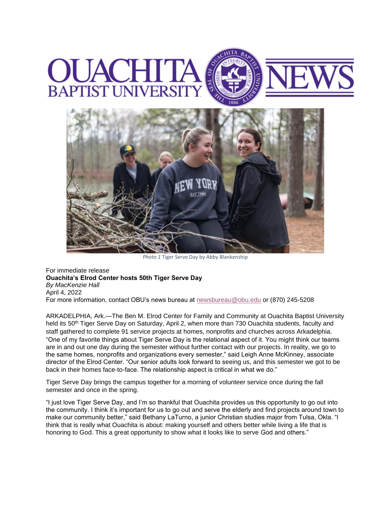



*Photo 1* Tiger Serve Day by Abby Blankenship

For immediate release **Ouachita's Elrod Center hosts 50th Tiger Serve Day** *By MacKenzie Hall* April 4, 2022 For more information, contact OBU's news bureau at [newsbureau@obu.edu](mailto:newsbureau@obu.edu) or (870) 245-5208

ARKADELPHIA, Ark.—The Ben M. Elrod Center for Family and Community at Ouachita Baptist University held its 50<sup>th</sup> Tiger Serve Day on Saturday, April 2, when more than 730 Ouachita students, faculty and staff gathered to complete 91 service projects at homes, nonprofits and churches across Arkadelphia. "One of my favorite things about Tiger Serve Day is the relational aspect of it. You might think our teams are in and out one day during the semester without further contact with our projects. In reality, we go to the same homes, nonprofits and organizations every semester," said Leigh Anne McKinney, associate director of the Elrod Center. "Our senior adults look forward to seeing us, and this semester we got to be back in their homes face-to-face. The relationship aspect is critical in what we do."

Tiger Serve Day brings the campus together for a morning of volunteer service once during the fall semester and once in the spring.

"I just love Tiger Serve Day, and I'm so thankful that Ouachita provides us this opportunity to go out into the community. I think it's important for us to go out and serve the elderly and find projects around town to make our community better," said Bethany LaTurno, a junior Christian studies major from Tulsa, Okla. "I think that is really what Ouachita is about: making yourself and others better while living a life that is honoring to God. This a great opportunity to show what it looks like to serve God and others."